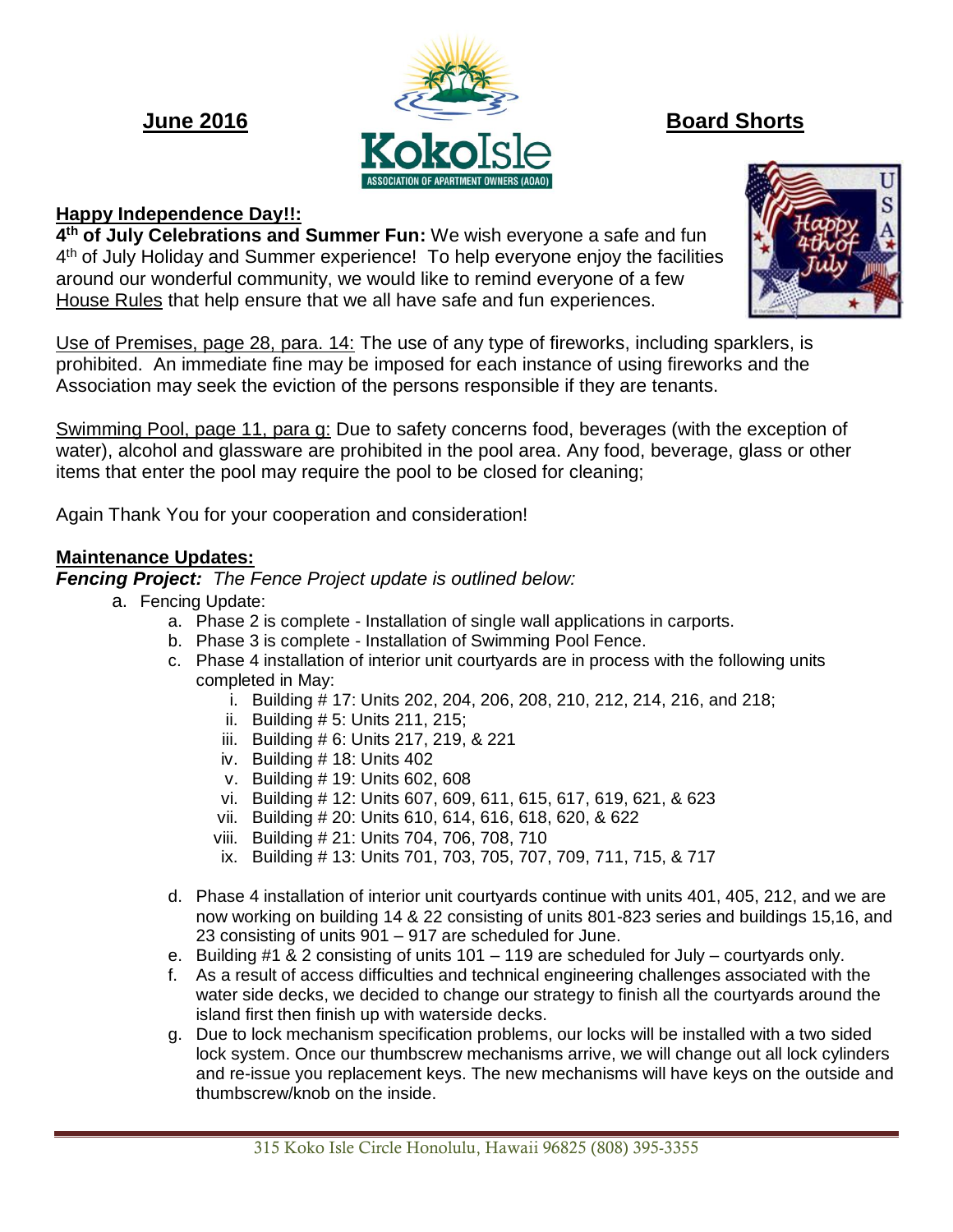

# **Happy Independence Day!!:**

**4 th of July Celebrations and Summer Fun:** We wish everyone a safe and fun 4<sup>th</sup> of July Holiday and Summer experience! To help everyone enjoy the facilities around our wonderful community, we would like to remind everyone of a few House Rules that help ensure that we all have safe and fun experiences.

Use of Premises, page 28, para. 14: The use of any type of fireworks, including sparklers, is prohibited. An immediate fine may be imposed for each instance of using fireworks and the Association may seek the eviction of the persons responsible if they are tenants.

Swimming Pool, page 11, para g: Due to safety concerns food, beverages (with the exception of water), alcohol and glassware are prohibited in the pool area. Any food, beverage, glass or other items that enter the pool may require the pool to be closed for cleaning;

Again Thank You for your cooperation and consideration!

## **Maintenance Updates:**

*Fencing Project: The Fence Project update is outlined below:*

- a. Fencing Update:
	- a. Phase 2 is complete Installation of single wall applications in carports.
	- b. Phase 3 is complete Installation of Swimming Pool Fence.
	- c. Phase 4 installation of interior unit courtyards are in process with the following units completed in May:
		- i. Building # 17: Units 202, 204, 206, 208, 210, 212, 214, 216, and 218;
		- ii. Building # 5: Units 211, 215;
		- iii. Building # 6: Units 217, 219, & 221
		- iv. Building # 18: Units 402
		- v. Building # 19: Units 602, 608
		- vi. Building # 12: Units 607, 609, 611, 615, 617, 619, 621, & 623
		- vii. Building # 20: Units 610, 614, 616, 618, 620, & 622
		- viii. Building # 21: Units 704, 706, 708, 710
		- ix. Building # 13: Units 701, 703, 705, 707, 709, 711, 715, & 717
	- d. Phase 4 installation of interior unit courtyards continue with units 401, 405, 212, and we are now working on building 14 & 22 consisting of units 801-823 series and buildings 15,16, and 23 consisting of units 901 – 917 are scheduled for June.
	- e. Building #1 & 2 consisting of units 101 119 are scheduled for July courtyards only.
	- f. As a result of access difficulties and technical engineering challenges associated with the water side decks, we decided to change our strategy to finish all the courtyards around the island first then finish up with waterside decks.
	- g. Due to lock mechanism specification problems, our locks will be installed with a two sided lock system. Once our thumbscrew mechanisms arrive, we will change out all lock cylinders and re-issue you replacement keys. The new mechanisms will have keys on the outside and thumbscrew/knob on the inside.